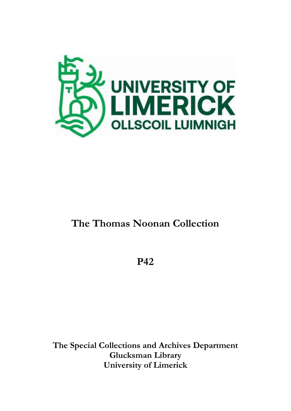

# **The Thomas Noonan Collection**

**P42**

**The Special Collections and Archives Department Glucksman Library University of Limerick**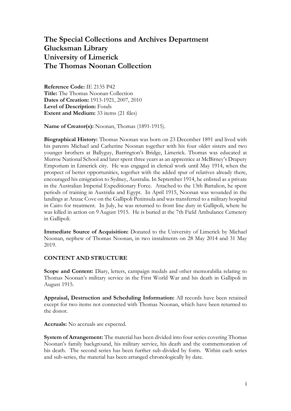## **The Special Collections and Archives Department Glucksman Library University of Limerick The Thomas Noonan Collection**

**Reference Code:** IE 2135 P42 **Title:** The Thomas Noonan Collection **Dates of Creation:** 1913-1921, 2007, 2010 **Level of Description:** Fonds **Extent and Medium:** 33 items (21 files)

**Name of Creator(s):** Noonan, Thomas (1891-1915).

**Biographical History:** Thomas Noonan was born on 23 December 1891 and lived with his parents Michael and Catherine Noonan together with his four older sisters and two younger brothers at Ballyguy, Barrington's Bridge, Limerick. Thomas was educated at Murroe National School and later spent three years as an apprentice at McBirney's Drapery Emporium in Limerick city. He was engaged in clerical work until May 1914, when the prospect of better opportunities, together with the added spur of relatives already there, encouraged his emigration to Sydney, Australia. In September 1914, he enlisted as a private in the Australian Imperial Expeditionary Force. Attached to the 13th Battalion, he spent periods of training in Australia and Egypt. In April 1915, Noonan was wounded in the landings at Anzac Cove on the Gallipoli Peninsula and was transferred to a military hospital in Cairo for treatment. In July, he was returned to front line duty in Gallipoli, where he was killed in action on 9August 1915. He is buried at the 7th Field Ambulance Cemetery in Gallipoli.

**Immediate Source of Acquisition:** Donated to the University of Limerick by Michael Noonan, nephew of Thomas Noonan, in two instalments on 28 May 2014 and 31 May 2019.

#### **CONTENT AND STRUCTURE**

**Scope and Content:** Diary, letters, campaign medals and other memorabilia relating to Thomas Noonan's military service in the First World War and his death in Gallipoli in August 1915.

**Appraisal, Destruction and Scheduling Information:** All records have been retained except for two items not connected with Thomas Noonan, which have been returned to the donor.

**Accruals:** No accruals are expected.

**System of Arrangement:** The material has been divided into four series covering Thomas Noonan's family background, his military service, his death and the commemoration of his death. The second series has been further sub-divided by form. Within each series and sub-series, the material has been arranged chronologically by date.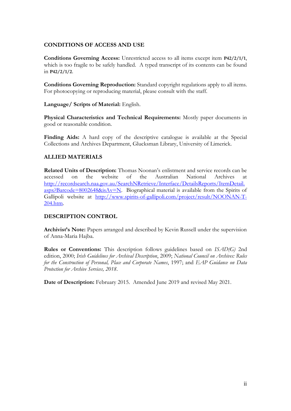#### **CONDITIONS OF ACCESS AND USE**

**Conditions Governing Access:** Unrestricted access to all items except item **P42/2/1/1**, which is too fragile to be safely handled. A typed transcript of its contents can be found in **P42/2/1/2**.

**Conditions Governing Reproduction:** Standard copyright regulations apply to all items. For photocopying or reproducing material, please consult with the staff.

**Language/ Scripts of Material:** English.

**Physical Characteristics and Technical Requirements:** Mostly paper documents in good or reasonable condition.

Finding Aids: A hard copy of the descriptive catalogue is available at the Special Collections and Archives Department, Glucksman Library, University of Limerick.

#### **ALLIED MATERIALS**

**Related Units of Description:** Thomas Noonan's enlistment and service records can be accessed on the website of the Australian National Archives at [http://recordsearch.naa.gov.au/SearchNRetrieve/Interface/DetailsReports/ItemDetail.](http://recordsearch.naa.gov.au/SearchNRetrieve/Interface/DetailsReports/ItemDetail.aspx?Barcode=8002648&isAv=N)  $a$ spx?Barcode=8002648&isAv=N. Biographical material is available from the Spirits of Gallipoli website at [http://www.spirits-of-gallipoli.com/project/result/NOONAN-T-](http://www.spirits-of-gallipoli.com/project/result/NOONAN-T-204.htm)[204.htm.](http://www.spirits-of-gallipoli.com/project/result/NOONAN-T-204.htm)

#### **DESCRIPTION CONTROL**

**Archivist's Note:** Papers arranged and described by Kevin Russell under the supervision of Anna-Maria Hajba.

**Rules or Conventions:** This description follows guidelines based on *ISAD(G)* 2nd edition, 2000; *Irish Guidelines for Archival Description*, 2009; *National Council on Archives: Rules for the Construction of Personal, Place and Corporate Names*, 1997; and *EAP Guidance on Data Protection for Archive Services, 2018*.

**Date of Description:** February 2015. Amended June 2019 and revised May 2021.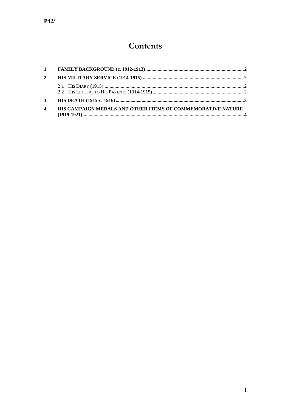# Contents

| $\mathbf{2}$            |                                                             |  |
|-------------------------|-------------------------------------------------------------|--|
|                         |                                                             |  |
| 3                       |                                                             |  |
| $\overline{\mathbf{4}}$ | HIS CAMPAIGN MEDALS AND OTHER ITEMS OF COMMEMORATIVE NATURE |  |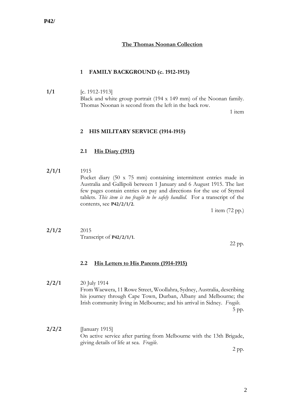#### **The Thomas Noonan Collection**

#### <span id="page-4-0"></span>**1 FAMILY BACKGROUND (c. 1912-1913)**

**1/1** [c. 1912-1913] Black and white group portrait (194 x 149 mm) of the Noonan family. Thomas Noonan is second from the left in the back row.

1 item

#### <span id="page-4-1"></span>**2 HIS MILITARY SERVICE (1914-1915)**

#### <span id="page-4-2"></span>**2.1 His Diary (1915)**

**2/1/1** 1915 Pocket diary (50 x 75 mm) containing intermittent entries made in Australia and Gallipoli between 1 January and 6 August 1915. The last few pages contain entries on pay and directions for the use of Stymol tablets. *This item is too fragile to be safely handled*. For a transcript of the contents, see **P42/2/1/2**.

1 item (72 pp.)

**2/1/2** 2015 Transcript of **P42/2/1/1**.

22 pp.

#### <span id="page-4-3"></span>**2.2 His Letters to His Parents (1914-1915)**

- **2/2/1** 20 July 1914 From Waewera, 11 Rowe Street, Woollahra, Sydney, Australia, describing his journey through Cape Town, Durban, Albany and Melbourne; the Irish community living in Melbourne; and his arrival in Sidney. *Fragile*. 5 pp.
- **2/2/2** [January 1915] On active service after parting from Melbourne with the 13th Brigade, giving details of life at sea. *Fragile*.

2 pp.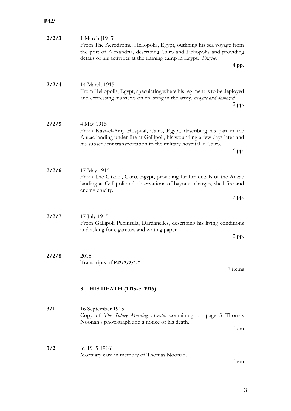### **P42/**

<span id="page-5-0"></span>

| 2/2/3 | 1 March [1915]<br>From The Aerodrome, Heliopolis, Egypt, outlining his sea voyage from<br>the port of Alexandria, describing Cairo and Heliopolis and providing<br>details of his activities at the training camp in Egypt. Fragile.        |
|-------|---------------------------------------------------------------------------------------------------------------------------------------------------------------------------------------------------------------------------------------------|
|       | 4 pp.                                                                                                                                                                                                                                       |
| 2/2/4 | 14 March 1915<br>From Heliopolis, Egypt, speculating where his regiment is to be deployed<br>and expressing his views on enlisting in the army. Fragile and damaged.<br>2 pp.                                                               |
| 2/2/5 | 4 May 1915<br>From Kasr-el-Ainy Hospital, Cairo, Egypt, describing his part in the<br>Anzac landing under fire at Gallipoli, his wounding a few days later and<br>his subsequent transportation to the military hospital in Cairo.<br>6 pp. |
| 2/2/6 | 17 May 1915<br>From The Citadel, Cairo, Egypt, providing further details of the Anzac<br>landing at Gallipoli and observations of bayonet charges, shell fire and<br>enemy cruelty.<br>$5$ pp.                                              |
| 2/2/7 | 17 July 1915<br>From Gallipoli Peninsula, Dardanelles, describing his living conditions<br>and asking for cigarettes and writing paper.<br>2 pp.                                                                                            |
| 2/2/8 | 2015<br>Transcripts of P42/2/2/1-7.<br>7 items                                                                                                                                                                                              |
|       | HIS DEATH (1915-c. 1916)<br>3                                                                                                                                                                                                               |
| 3/1   | 16 September 1915<br>Copy of The Sidney Morning Herald, containing on page 3 Thomas<br>Noonan's photograph and a notice of his death.<br>1 item                                                                                             |
| 3/2   | [c. 1915-1916]<br>Mortuary card in memory of Thomas Noonan.<br>1 item                                                                                                                                                                       |